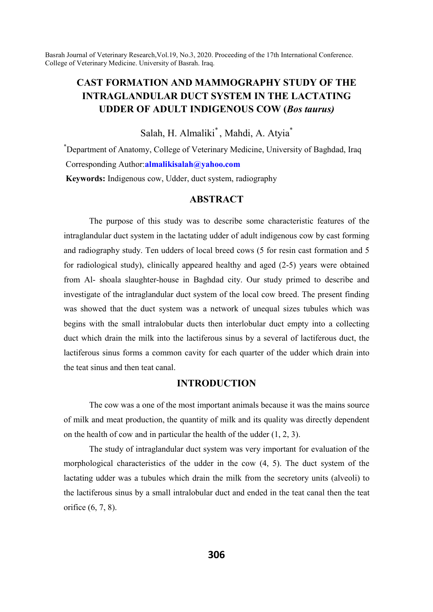# **CAST FORMATION AND MAMMOGRAPHY STUDY OF THE INTRAGLANDULAR DUCT SYSTEM IN THE LACTATING UDDER OF ADULT INDIGENOUS COW (***Bos taurus)*

Salah, H. Almaliki\* , Mahdi, A. Atyia\*

\* Department of Anatomy, College of Veterinary Medicine, University of Baghdad, Iraq Corresponding Author:**almalikisalah@yahoo.com**

**Keywords:** Indigenous cow, Udder, duct system, radiography

## **ABSTRACT**

 The purpose of this study was to describe some characteristic features of the intraglandular duct system in the lactating udder of adult indigenous cow by cast forming and radiography study. Ten udders of local breed cows (5 for resin cast formation and 5 for radiological study), clinically appeared healthy and aged (2-5) years were obtained from Al- shoala slaughter-house in Baghdad city. Our study primed to describe and investigate of the intraglandular duct system of the local cow breed. The present finding was showed that the duct system was a network of unequal sizes tubules which was begins with the small intralobular ducts then interlobular duct empty into a collecting duct which drain the milk into the lactiferous sinus by a several of lactiferous duct, the lactiferous sinus forms a common cavity for each quarter of the udder which drain into the teat sinus and then teat canal.

### **INTRODUCTION**

 The cow was a one of the most important animals because it was the mains source of milk and meat production, the quantity of milk and its quality was directly dependent on the health of cow and in particular the health of the udder (1, 2, 3).

 The study of intraglandular duct system was very important for evaluation of the morphological characteristics of the udder in the cow (4, 5). The duct system of the lactating udder was a tubules which drain the milk from the secretory units (alveoli) to the lactiferous sinus by a small intralobular duct and ended in the teat canal then the teat orifice (6, 7, 8).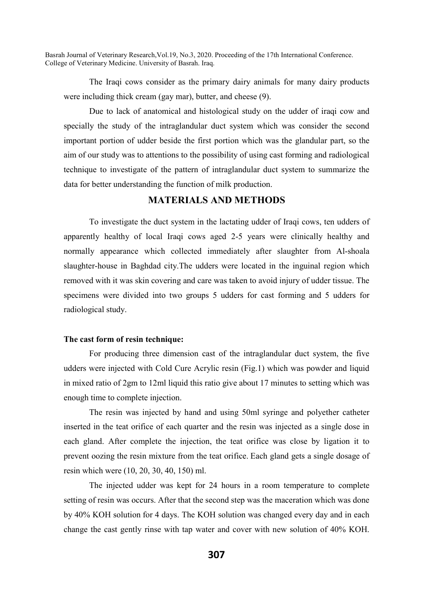The Iraqi cows consider as the primary dairy animals for many dairy products were including thick cream (gay mar), butter, and cheese (9).

 Due to lack of anatomical and histological study on the udder of iraqi cow and specially the study of the intraglandular duct system which was consider the second important portion of udder beside the first portion which was the glandular part, so the aim of our study was to attentions to the possibility of using cast forming and radiological technique to investigate of the pattern of intraglandular duct system to summarize the data for better understanding the function of milk production.

### **MATERIALS AND METHODS**

 To investigate the duct system in the lactating udder of Iraqi cows, ten udders of apparently healthy of local Iraqi cows aged 2-5 years were clinically healthy and normally appearance which collected immediately after slaughter from Al-shoala slaughter-house in Baghdad city.The udders were located in the inguinal region which removed with it was skin covering and care was taken to avoid injury of udder tissue. The specimens were divided into two groups 5 udders for cast forming and 5 udders for radiological study.

#### **The cast form of resin technique:**

 For producing three dimension cast of the intraglandular duct system, the five udders were injected with Cold Cure Acrylic resin (Fig.1) which was powder and liquid in mixed ratio of 2gm to 12ml liquid this ratio give about 17 minutes to setting which was enough time to complete injection.

 The resin was injected by hand and using 50ml syringe and polyether catheter inserted in the teat orifice of each quarter and the resin was injected as a single dose in each gland. After complete the injection, the teat orifice was close by ligation it to prevent oozing the resin mixture from the teat orifice. Each gland gets a single dosage of resin which were (10, 20, 30, 40, 150) ml.

 The injected udder was kept for 24 hours in a room temperature to complete setting of resin was occurs. After that the second step was the maceration which was done by 40% KOH solution for 4 days. The KOH solution was changed every day and in each change the cast gently rinse with tap water and cover with new solution of 40% KOH.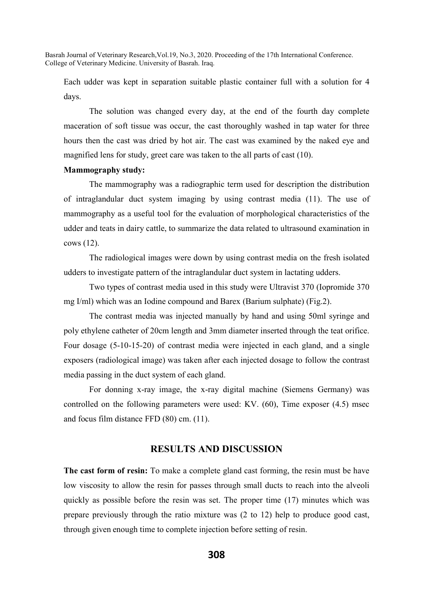Each udder was kept in separation suitable plastic container full with a solution for 4 days.

 The solution was changed every day, at the end of the fourth day complete maceration of soft tissue was occur, the cast thoroughly washed in tap water for three hours then the cast was dried by hot air. The cast was examined by the naked eye and magnified lens for study, greet care was taken to the all parts of cast (10).

### **Mammography study:**

 The mammography was a radiographic term used for description the distribution of intraglandular duct system imaging by using contrast media (11). The use of mammography as a useful tool for the evaluation of morphological characteristics of the udder and teats in dairy cattle, to summarize the data related to ultrasound examination in cows (12).

 The radiological images were down by using contrast media on the fresh isolated udders to investigate pattern of the intraglandular duct system in lactating udders.

 Two types of contrast media used in this study were Ultravist 370 (Iopromide 370 mg I/ml) which was an Iodine compound and Barex (Barium sulphate) (Fig.2).

 The contrast media was injected manually by hand and using 50ml syringe and poly ethylene catheter of 20cm length and 3mm diameter inserted through the teat orifice. Four dosage (5-10-15-20) of contrast media were injected in each gland, and a single exposers (radiological image) was taken after each injected dosage to follow the contrast media passing in the duct system of each gland.

 For donning x-ray image, the x-ray digital machine (Siemens Germany) was controlled on the following parameters were used: KV. (60), Time exposer (4.5) msec and focus film distance FFD (80) cm. (11).

# **RESULTS AND DISCUSSION**

**The cast form of resin:** To make a complete gland cast forming, the resin must be have low viscosity to allow the resin for passes through small ducts to reach into the alveoli quickly as possible before the resin was set. The proper time (17) minutes which was prepare previously through the ratio mixture was (2 to 12) help to produce good cast, through given enough time to complete injection before setting of resin.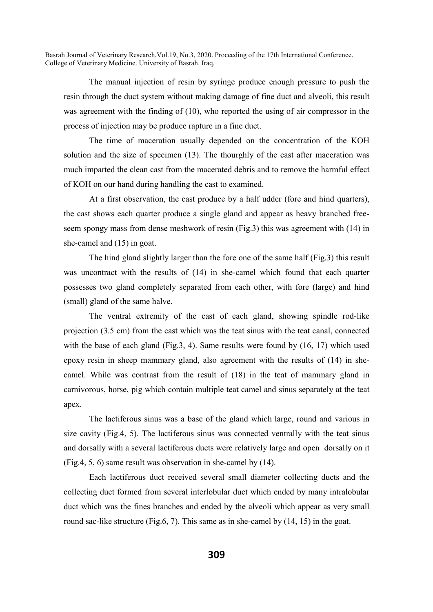The manual injection of resin by syringe produce enough pressure to push the resin through the duct system without making damage of fine duct and alveoli, this result was agreement with the finding of (10), who reported the using of air compressor in the process of injection may be produce rapture in a fine duct.

 The time of maceration usually depended on the concentration of the KOH solution and the size of specimen (13). The thourghly of the cast after maceration was much imparted the clean cast from the macerated debris and to remove the harmful effect of KOH on our hand during handling the cast to examined.

 At a first observation, the cast produce by a half udder (fore and hind quarters), the cast shows each quarter produce a single gland and appear as heavy branched freeseem spongy mass from dense meshwork of resin (Fig.3) this was agreement with (14) in she-camel and (15) in goat.

 The hind gland slightly larger than the fore one of the same half (Fig.3) this result was uncontract with the results of (14) in she-camel which found that each quarter possesses two gland completely separated from each other, with fore (large) and hind (small) gland of the same halve.

 The ventral extremity of the cast of each gland, showing spindle rod-like projection (3.5 cm) from the cast which was the teat sinus with the teat canal, connected with the base of each gland (Fig.3, 4). Same results were found by (16, 17) which used epoxy resin in sheep mammary gland, also agreement with the results of (14) in shecamel. While was contrast from the result of (18) in the teat of mammary gland in carnivorous, horse, pig which contain multiple teat camel and sinus separately at the teat apex.

 The lactiferous sinus was a base of the gland which large, round and various in size cavity (Fig.4, 5). The lactiferous sinus was connected ventrally with the teat sinus and dorsally with a several lactiferous ducts were relatively large and open dorsally on it (Fig.4, 5, 6) same result was observation in she-camel by (14).

 Each lactiferous duct received several small diameter collecting ducts and the collecting duct formed from several interlobular duct which ended by many intralobular duct which was the fines branches and ended by the alveoli which appear as very small round sac-like structure (Fig.6, 7). This same as in she-camel by  $(14, 15)$  in the goat.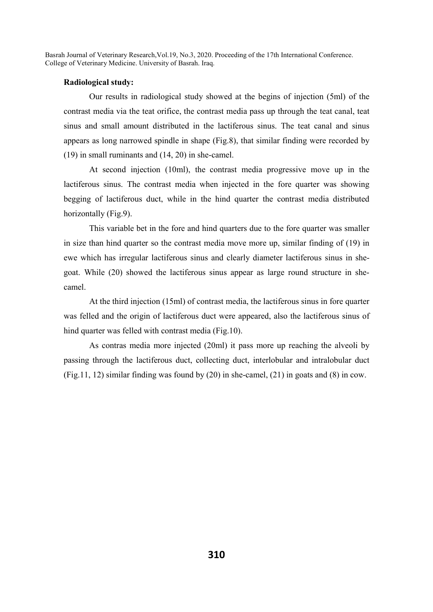#### **Radiological study:**

 Our results in radiological study showed at the begins of injection (5ml) of the contrast media via the teat orifice, the contrast media pass up through the teat canal, teat sinus and small amount distributed in the lactiferous sinus. The teat canal and sinus appears as long narrowed spindle in shape (Fig.8), that similar finding were recorded by (19) in small ruminants and (14, 20) in she-camel.

 At second injection (10ml), the contrast media progressive move up in the lactiferous sinus. The contrast media when injected in the fore quarter was showing begging of lactiferous duct, while in the hind quarter the contrast media distributed horizontally (Fig.9).

 This variable bet in the fore and hind quarters due to the fore quarter was smaller in size than hind quarter so the contrast media move more up, similar finding of (19) in ewe which has irregular lactiferous sinus and clearly diameter lactiferous sinus in shegoat. While (20) showed the lactiferous sinus appear as large round structure in shecamel.

 At the third injection (15ml) of contrast media, the lactiferous sinus in fore quarter was felled and the origin of lactiferous duct were appeared, also the lactiferous sinus of hind quarter was felled with contrast media (Fig.10).

 As contras media more injected (20ml) it pass more up reaching the alveoli by passing through the lactiferous duct, collecting duct, interlobular and intralobular duct (Fig.11, 12) similar finding was found by (20) in she-camel, (21) in goats and (8) in cow.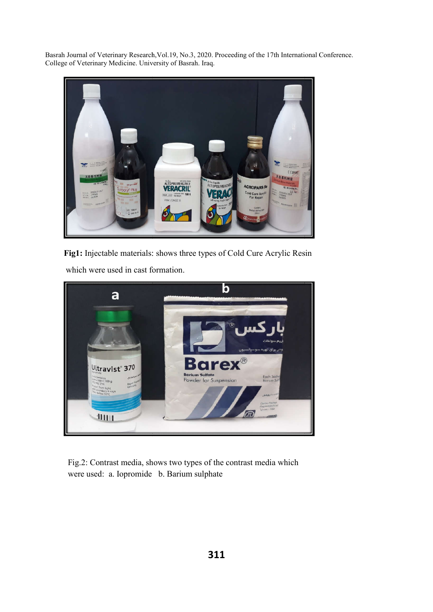

Fig1: Injectable materials: shows three types of Cold Cure Acrylic Resin which were used in cast formation.



Fig.2: Contrast media, shows two types of the contrast media which were used: a. Iopromide b. Barium sulphate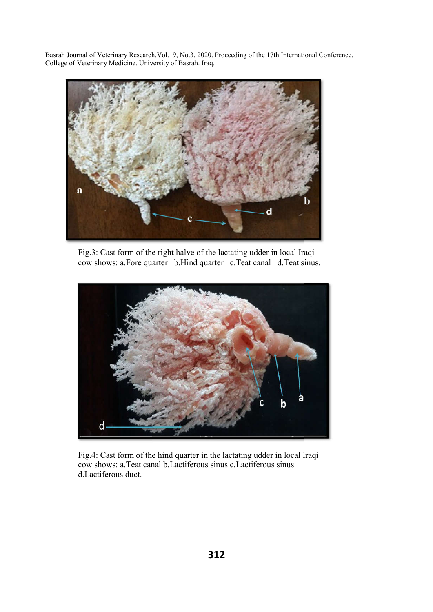

Fig.3: Cast form of the right halve of the lactating udder in local Iraqi cow shows: a. Fore quarter b. Hind quarter c. Teat canal d. Teat sinus.



Fig.4: Cast form of the hind quarter in the lactating udder in local Iraqi cow shows: a.Teat canal b.Lactiferous sinus c.Lactiferous sinus d.Lactiferous duct.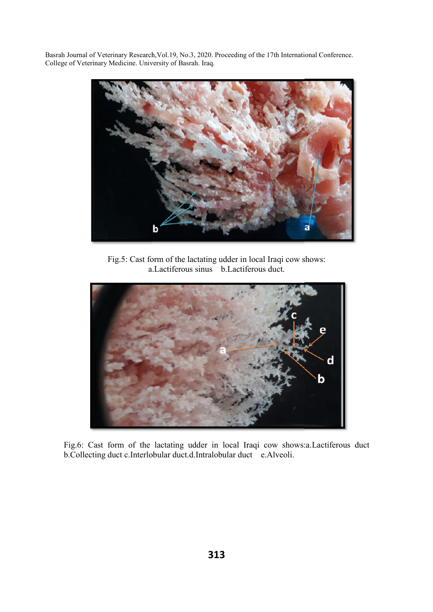

Fig.5: Cast form of the lactating udder in local Iraqi cow shows: a.Lactiferous sinus b.Lactiferous duct.



Fig.6: Cast form of the lactating udder in local Iraqi cow shows: a. Lactiferous duct b.Collecting duct c.Interlobular duct.d.Intralobular duct e.Alveoli.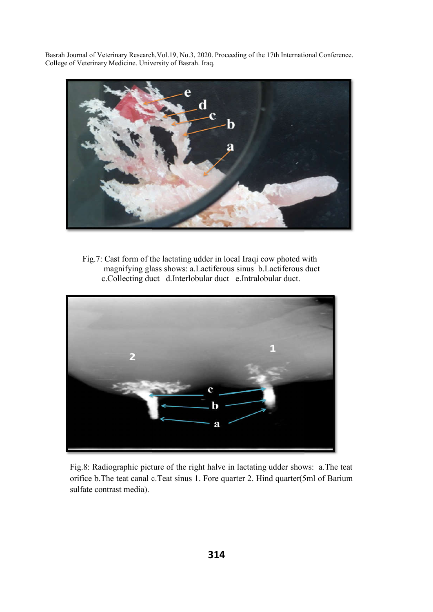

Fig.7: Cast form of the lactating udder in local Iraqi cow photed with magnifying glass shows: a.Lactiferous sinus b.Lactiferous duct c.Collecting duct d.Interlobular duct e.Intralobular duct.



Fig.8: Radiographic picture of the right halve in lactating udder shows: a. The teat orifice b.The teat canal c.Teat sinus 1. Fore quarter 2. Hind quarter(5ml of Barium sulfate contrast media).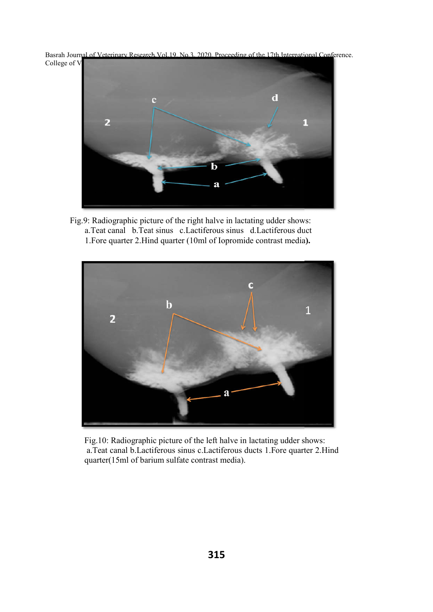Basrah Journal of Veterinary Research, Vol. 19, No. 3, 2020. Proceeding of the 17th International Conference. College of V



Fig.9: Radiographic picture of the right halve in lactating udder shows: a.Teat canal b.Teat sinus c.Lactiferous sinus d.Lactiferous duct 1. Fore quarter 2. Hind quarter (10ml of Iopromide contrast media).



Fig.10: Radiographic picture of the left halve in lactating udder shows: a.Teat canal b.Lactiferous sinus c.Lactiferous ducts 1.Fore quarter 2.Hind quarter(15ml of barium sulfate contrast media).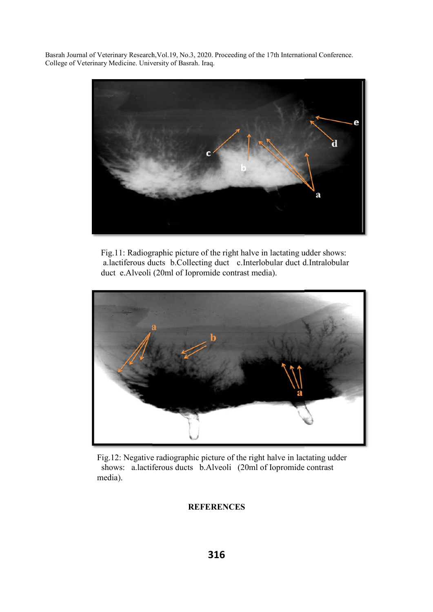

Fig.11: Radiographic picture of the right halve in lactating udder shows: a.lactiferous ducts ducts b.Collecting duct c.Interlobular duct d.Intralobular duct e.Alveoli (20ml of Iopromide contrast media).



Fig.12: Negative radiographic picture of the right halve in lactating udder shows: a.lactiferous ducts b.Alveoli (20ml of Iopromide contrast media).

### **REFERENCES**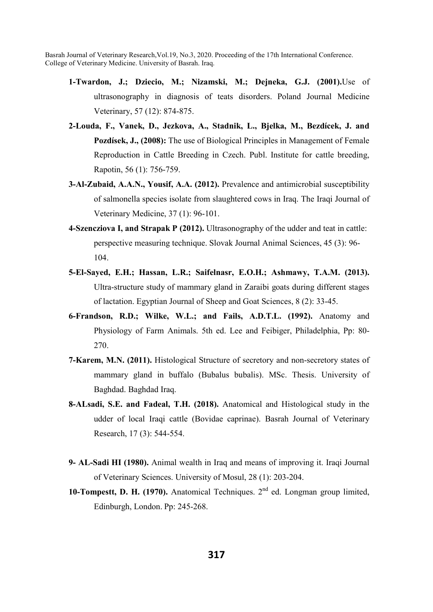- **1-Twardon, J.; Dziecio, M.; Nizamski, M.; Dejneka, G.J. (2001).**Use of ultrasonography in diagnosis of teats disorders. Poland Journal Medicine Veterinary, 57 (12): 874-875.
- **2-Louda, F., Vanek, D., Jezkova, A., Stadnik, L., Bjelka, M., Bezdícek, J. and Pozdísek, J., (2008):** The use of Biological Principles in Management of Female Reproduction in Cattle Breeding in Czech. Publ. Institute for cattle breeding, Rapotin, 56 (1): 756-759.
- **3-Al-Zubaid, A.A.N., Yousif, A.A. (2012).** Prevalence and antimicrobial susceptibility of salmonella species isolate from slaughtered cows in Iraq. The Iraqi Journal of Veterinary Medicine, 37 (1): 96-101.
- **4-Szencziova I, and Strapak P (2012).** Ultrasonography of the udder and teat in cattle: perspective measuring technique. Slovak Journal Animal Sciences, 45 (3): 96- 104.
- **5-El-Sayed, E.H.; Hassan, L.R.; Saifelnasr, E.O.H.; Ashmawy, T.A.M. (2013).** Ultra-structure study of mammary gland in Zaraibi goats during different stages of lactation. Egyptian Journal of Sheep and Goat Sciences, 8 (2): 33-45.
- **6-Frandson, R.D.; Wilke, W.L.; and Fails, A.D.T.L. (1992).** Anatomy and Physiology of Farm Animals. 5th ed. Lee and Feibiger, Philadelphia, Pp: 80- 270.
- **7-Karem, M.N. (2011).** Histological Structure of secretory and non-secretory states of mammary gland in buffalo (Bubalus bubalis). MSc. Thesis. University of Baghdad. Baghdad Iraq.
- **8-ALsadi, S.E. and Fadeal, T.H. (2018).** Anatomical and Histological study in the udder of local Iraqi cattle (Bovidae caprinae). Basrah Journal of Veterinary Research, 17 (3): 544-554.
- **9- AL-Sadi HI (1980).** Animal wealth in Iraq and means of improving it. Iraqi Journal of Veterinary Sciences. University of Mosul, 28 (1): 203-204.
- **10-Tompestt, D. H. (1970).** Anatomical Techniques. 2<sup>nd</sup> ed. Longman group limited, Edinburgh, London. Pp: 245-268.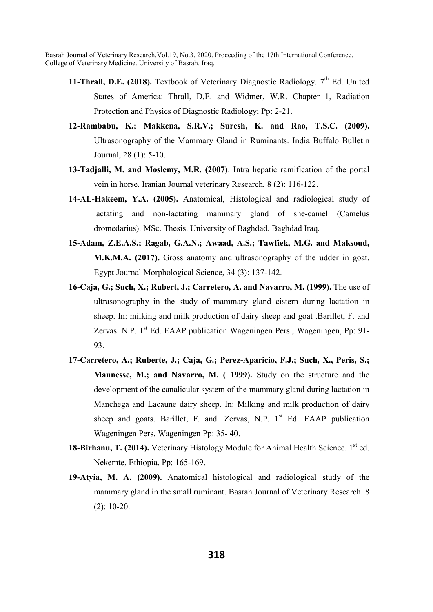- **11-Thrall, D.E. (2018).** Textbook of Veterinary Diagnostic Radiology.  $7<sup>th</sup>$  Ed. United States of America: Thrall, D.E. and Widmer, W.R. Chapter 1, Radiation Protection and Physics of Diagnostic Radiology; Pp: 2-21.
- **12-Rambabu, K.; Makkena, S.R.V.; Suresh, K. and Rao, T.S.C. (2009).** Ultrasonography of the Mammary Gland in Ruminants. India Buffalo Bulletin Journal, 28 (1): 5-10.
- **13-Tadjalli, M. and Moslemy, M.R. (2007)**. Intra hepatic ramification of the portal vein in horse. Iranian Journal veterinary Research, 8 (2): 116-122.
- **14-AL-Hakeem, Y.A. (2005).** Anatomical, Histological and radiological study of lactating and non-lactating mammary gland of she-camel (Camelus dromedarius). MSc. Thesis. University of Baghdad. Baghdad Iraq.
- **15-Adam, Z.E.A.S.; Ragab, G.A.N.; Awaad, A.S.; Tawfiek, M.G. and Maksoud, M.K.M.A. (2017).** Gross anatomy and ultrasonography of the udder in goat. Egypt Journal Morphological Science, 34 (3): 137-142.
- **16-Caja, G.; Such, X.; Rubert, J.; Carretero, A. and Navarro, M. (1999).** The use of ultrasonography in the study of mammary gland cistern during lactation in sheep. In: milking and milk production of dairy sheep and goat .Barillet, F. and Zervas. N.P. 1<sup>st</sup> Ed. EAAP publication Wageningen Pers., Wageningen, Pp: 91-93.
- **17-Carretero, A.; Ruberte, J.; Caja, G.; Perez-Aparicio, F.J.; Such, X., Peris, S.; Mannesse, M.; and Navarro, M. ( 1999).** Study on the structure and the development of the canalicular system of the mammary gland during lactation in Manchega and Lacaune dairy sheep. In: Milking and milk production of dairy sheep and goats. Barillet, F. and. Zervas, N.P.  $1<sup>st</sup>$  Ed. EAAP publication Wageningen Pers, Wageningen Pp: 35- 40.
- **18-Birhanu, T. (2014).** Veterinary Histology Module for Animal Health Science. 1<sup>st</sup> ed. Nekemte, Ethiopia. Pp: 165-169.
- **19-Atyia, M. A. (2009).** Anatomical histological and radiological study of the mammary gland in the small ruminant. Basrah Journal of Veterinary Research. 8 (2): 10-20.